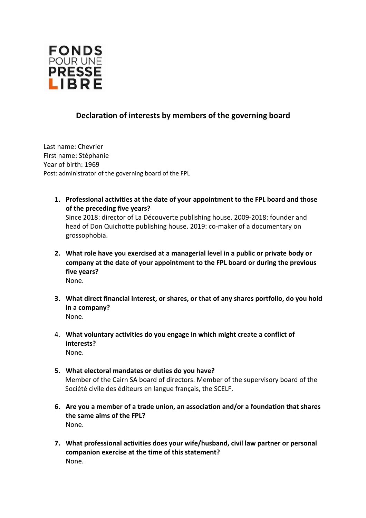

## **Declaration of interests by members of the governing board**

Last name: Chevrier First name: Stéphanie Year of birth: 1969 Post: administrator of the governing board of the FPL

- **1. Professional activities at the date of your appointment to the FPL board and those of the preceding five years?**  Since 2018: director of La Découverte publishing house. 2009-2018: founder and head of Don Quichotte publishing house. 2019: co-maker of a documentary on grossophobia.
- **2. What role have you exercised at a managerial level in a public or private body or company at the date of your appointment to the FPL board or during the previous five years?**  None.
- **3. What direct financial interest, or shares, or that of any shares portfolio, do you hold in a company?**  None.
- 4. **What voluntary activities do you engage in which might create a conflict of interests?**  None.
- **5. What electoral mandates or duties do you have?**  Member of the Cairn SA board of directors. Member of the supervisory board of the Société civile des éditeurs en langue français, the SCELF.
- **6. Are you a member of a trade union, an association and/or a foundation that shares the same aims of the FPL?**  None.
- **7. What professional activities does your wife/husband, civil law partner or personal companion exercise at the time of this statement?**  None.